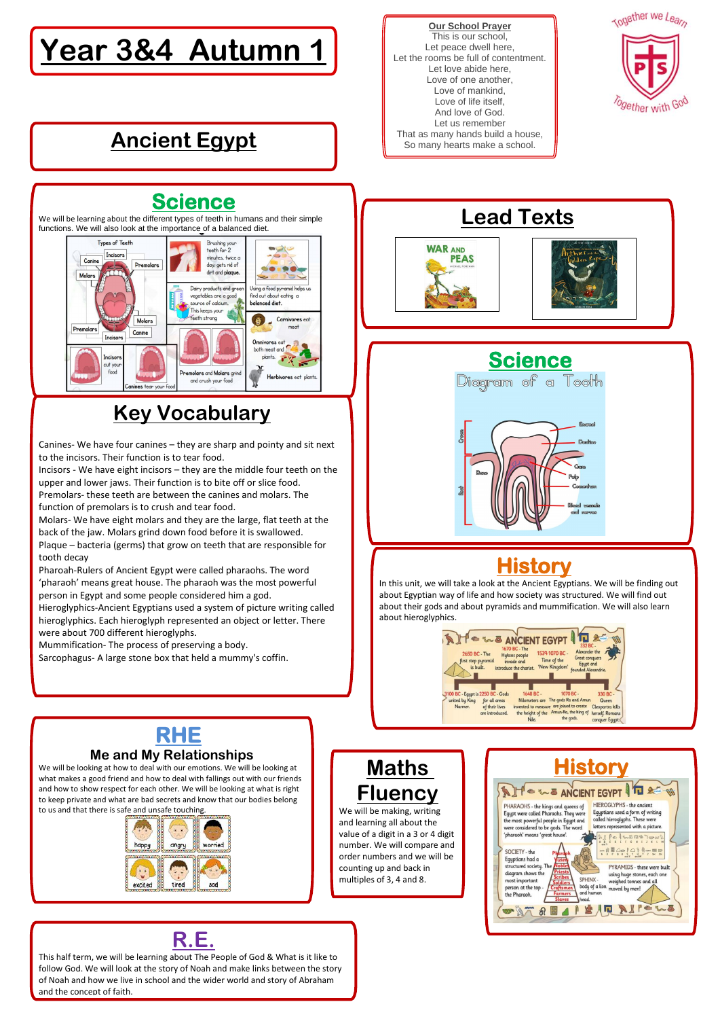#### **Our School Prayer** This is our school, Let peace dwell here, Let the rooms be full of contentment. Let love abide here, Love of one another, Love of mankind, Love of life itself, And love of God. Let us remember That as many hands build a house, So many hearts make a school.



# **Year 3&4 Autumn 1**

## **Lead Texts**





## **Ancient Egypt**





#### **Key Vocabulary**

Canines- We have four canines – they are sharp and pointy and sit next to the incisors. Their function is to tear food.

Incisors - We have eight incisors – they are the middle four teeth on the upper and lower jaws. Their function is to bite off or slice food. Premolars- these teeth are between the canines and molars. The function of premolars is to crush and tear food.

Molars- We have eight molars and they are the large, flat teeth at the back of the jaw. Molars grind down food before it is swallowed.

Plaque – bacteria (germs) that grow on teeth that are responsible for tooth decay

Pharoah-Rulers of Ancient Egypt were called pharaohs. The word 'pharaoh' means great house. The pharaoh was the most powerful person in Egypt and some people considered him a god.

Hieroglyphics-Ancient Egyptians used a system of picture writing called hieroglyphics. Each hieroglyph represented an object or letter. There were about 700 different hieroglyphs.

Mummification- The process of preserving a body. Sarcophagus- A large stone box that held a mummy's coffin.



#### **R.E.**

This half term, we will be learning about The People of God & What is it like to follow God. We will look at the story of Noah and make links between the story of Noah and how we live in school and the wider world and story of Abraham and the concept of faith.

#### **History**

In this unit, we will take a look at the Ancient Egyptians. We will be finding out about Egyptian way of life and how society was structured. We will find out about their gods and about pyramids and mummification. We will also learn about hieroglyphics.



#### **Science**

We will be learning about the different types of teeth in humans and their simple functions. We will also look at the importance of a balanced diet.





what makes a good friend and how to deal with fallings out with our friends and how to show respect for each other. We will be looking at what is right to keep private and what are bad secrets and know that our bodies belong to us and that there is safe and unsafe touching.



#### **Maths Fluency**

We will be making, writing and learning all about the value of a digit in a 3 or 4 digit number. We will compare and order numbers and we will be counting up and back in multiples of 3, 4 and 8.

#### $f \sim \sim 2$  ANCIENT EGYPT PHARAOHS - the kings and queens of HIEROGLYPHS - the ancient Egypt were called Pharaohs. They were Egyptians used a form of writing called hieroglyphs. These were most powerful people in Egypt and letters represented with a picture. were considered to be gods. The word 'pharaoh' means 'great house'. Inserver  $Q \sim 1$   $Q \wedge 1$   $Q \wedge 2$   $Q \wedge 3$ SOCIETY - the Egyptians had a structured society. Th PYRAMIDS - these were buil diagram shows the using huge stones, each one SPHINX most important weighed tonnes and al erson at the top body of a lion moved by men and h the Pharaoh head. AI BAQ AIrews OF STAD